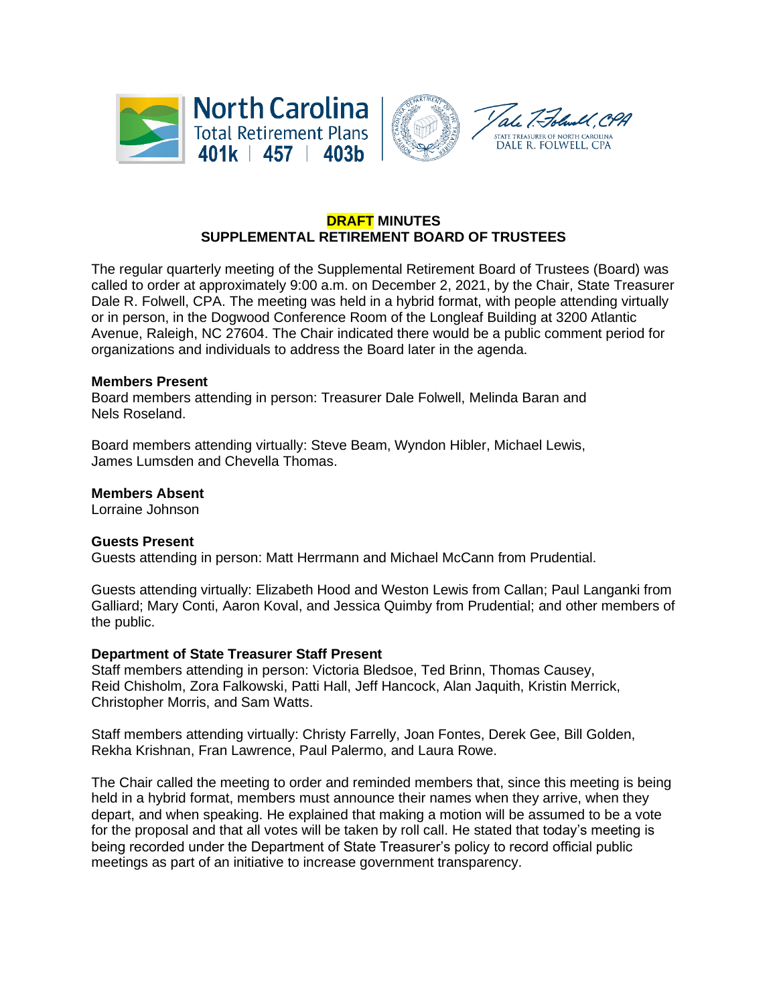



## **DRAFT MINUTES SUPPLEMENTAL RETIREMENT BOARD OF TRUSTEES**

The regular quarterly meeting of the Supplemental Retirement Board of Trustees (Board) was called to order at approximately 9:00 a.m. on December 2, 2021, by the Chair, State Treasurer Dale R. Folwell, CPA. The meeting was held in a hybrid format, with people attending virtually or in person, in the Dogwood Conference Room of the Longleaf Building at 3200 Atlantic Avenue, Raleigh, NC 27604. The Chair indicated there would be a public comment period for organizations and individuals to address the Board later in the agenda.

#### **Members Present**

Board members attending in person: Treasurer Dale Folwell, Melinda Baran and Nels Roseland.

Board members attending virtually: Steve Beam, Wyndon Hibler, Michael Lewis, James Lumsden and Chevella Thomas.

## **Members Absent**

Lorraine Johnson

# **Guests Present**

Guests attending in person: Matt Herrmann and Michael McCann from Prudential.

Guests attending virtually: Elizabeth Hood and Weston Lewis from Callan; Paul Langanki from Galliard; Mary Conti, Aaron Koval, and Jessica Quimby from Prudential; and other members of the public.

# **Department of State Treasurer Staff Present**

Staff members attending in person: Victoria Bledsoe, Ted Brinn, Thomas Causey, Reid Chisholm, Zora Falkowski, Patti Hall, Jeff Hancock, Alan Jaquith, Kristin Merrick, Christopher Morris, and Sam Watts.

Staff members attending virtually: Christy Farrelly, Joan Fontes, Derek Gee, Bill Golden, Rekha Krishnan, Fran Lawrence, Paul Palermo, and Laura Rowe.

The Chair called the meeting to order and reminded members that, since this meeting is being held in a hybrid format, members must announce their names when they arrive, when they depart, and when speaking. He explained that making a motion will be assumed to be a vote for the proposal and that all votes will be taken by roll call. He stated that today's meeting is being recorded under the Department of State Treasurer's policy to record official public meetings as part of an initiative to increase government transparency.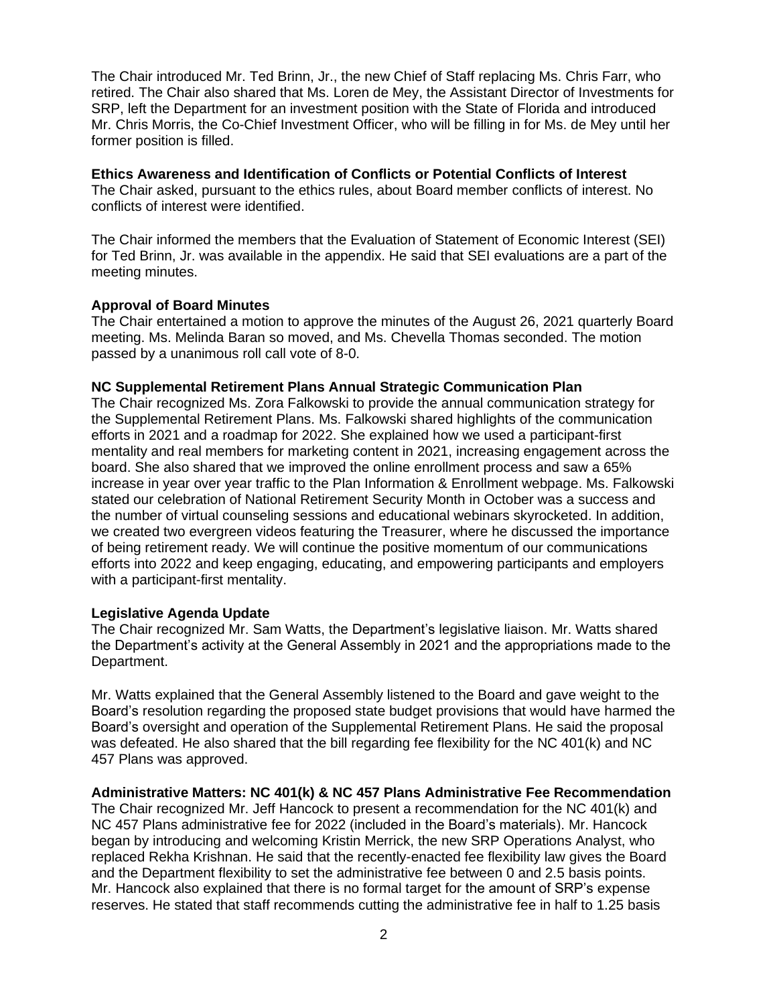The Chair introduced Mr. Ted Brinn, Jr., the new Chief of Staff replacing Ms. Chris Farr, who retired. The Chair also shared that Ms. Loren de Mey, the Assistant Director of Investments for SRP, left the Department for an investment position with the State of Florida and introduced Mr. Chris Morris, the Co-Chief Investment Officer, who will be filling in for Ms. de Mey until her former position is filled.

# **Ethics Awareness and Identification of Conflicts or Potential Conflicts of Interest**

The Chair asked, pursuant to the ethics rules, about Board member conflicts of interest. No conflicts of interest were identified.

The Chair informed the members that the Evaluation of Statement of Economic Interest (SEI) for Ted Brinn, Jr. was available in the appendix. He said that SEI evaluations are a part of the meeting minutes.

## **Approval of Board Minutes**

The Chair entertained a motion to approve the minutes of the August 26, 2021 quarterly Board meeting. Ms. Melinda Baran so moved, and Ms. Chevella Thomas seconded. The motion passed by a unanimous roll call vote of 8-0.

## **NC Supplemental Retirement Plans Annual Strategic Communication Plan**

The Chair recognized Ms. Zora Falkowski to provide the annual communication strategy for the Supplemental Retirement Plans. Ms. Falkowski shared highlights of the communication efforts in 2021 and a roadmap for 2022. She explained how we used a participant-first mentality and real members for marketing content in 2021, increasing engagement across the board. She also shared that we improved the online enrollment process and saw a 65% increase in year over year traffic to the Plan Information & Enrollment webpage. Ms. Falkowski stated our celebration of National Retirement Security Month in October was a success and the number of virtual counseling sessions and educational webinars skyrocketed. In addition, we created two evergreen videos featuring the Treasurer, where he discussed the importance of being retirement ready. We will continue the positive momentum of our communications efforts into 2022 and keep engaging, educating, and empowering participants and employers with a participant-first mentality.

#### **Legislative Agenda Update**

The Chair recognized Mr. Sam Watts, the Department's legislative liaison. Mr. Watts shared the Department's activity at the General Assembly in 2021 and the appropriations made to the Department.

Mr. Watts explained that the General Assembly listened to the Board and gave weight to the Board's resolution regarding the proposed state budget provisions that would have harmed the Board's oversight and operation of the Supplemental Retirement Plans. He said the proposal was defeated. He also shared that the bill regarding fee flexibility for the NC 401(k) and NC 457 Plans was approved.

# **Administrative Matters: NC 401(k) & NC 457 Plans Administrative Fee Recommendation**

The Chair recognized Mr. Jeff Hancock to present a recommendation for the NC 401(k) and NC 457 Plans administrative fee for 2022 (included in the Board's materials). Mr. Hancock began by introducing and welcoming Kristin Merrick, the new SRP Operations Analyst, who replaced Rekha Krishnan. He said that the recently-enacted fee flexibility law gives the Board and the Department flexibility to set the administrative fee between 0 and 2.5 basis points. Mr. Hancock also explained that there is no formal target for the amount of SRP's expense reserves. He stated that staff recommends cutting the administrative fee in half to 1.25 basis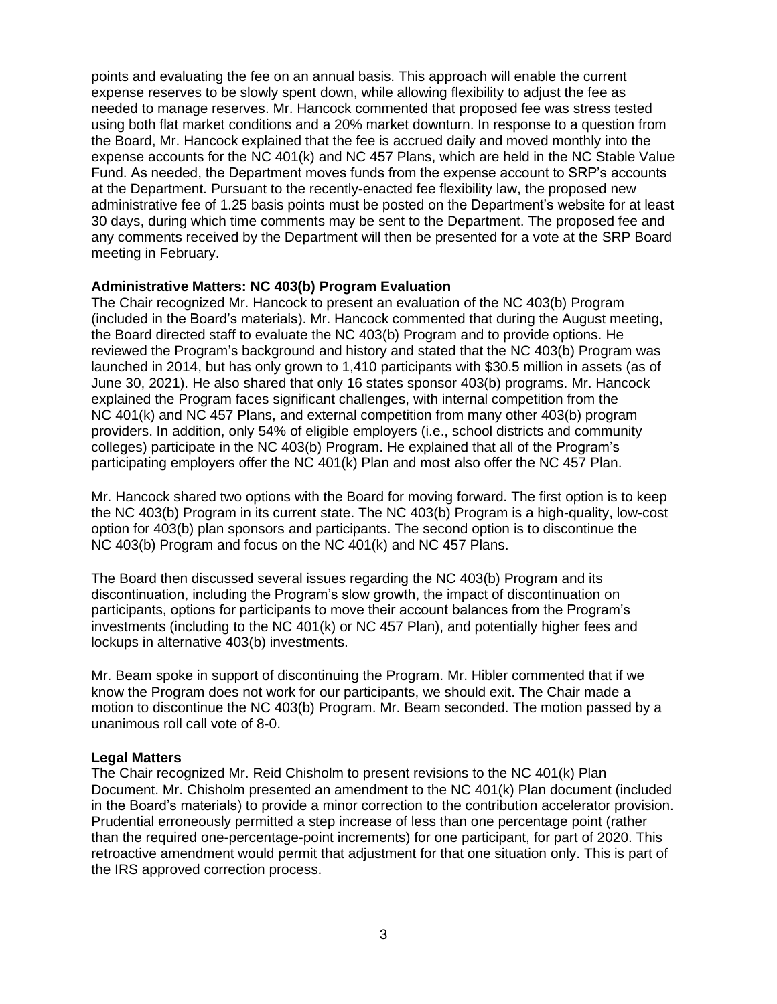points and evaluating the fee on an annual basis. This approach will enable the current expense reserves to be slowly spent down, while allowing flexibility to adjust the fee as needed to manage reserves. Mr. Hancock commented that proposed fee was stress tested using both flat market conditions and a 20% market downturn. In response to a question from the Board, Mr. Hancock explained that the fee is accrued daily and moved monthly into the expense accounts for the NC 401(k) and NC 457 Plans, which are held in the NC Stable Value Fund. As needed, the Department moves funds from the expense account to SRP's accounts at the Department. Pursuant to the recently-enacted fee flexibility law, the proposed new administrative fee of 1.25 basis points must be posted on the Department's website for at least 30 days, during which time comments may be sent to the Department. The proposed fee and any comments received by the Department will then be presented for a vote at the SRP Board meeting in February.

#### **Administrative Matters: NC 403(b) Program Evaluation**

The Chair recognized Mr. Hancock to present an evaluation of the NC 403(b) Program (included in the Board's materials). Mr. Hancock commented that during the August meeting, the Board directed staff to evaluate the NC 403(b) Program and to provide options. He reviewed the Program's background and history and stated that the NC 403(b) Program was launched in 2014, but has only grown to 1,410 participants with \$30.5 million in assets (as of June 30, 2021). He also shared that only 16 states sponsor 403(b) programs. Mr. Hancock explained the Program faces significant challenges, with internal competition from the NC 401(k) and NC 457 Plans, and external competition from many other 403(b) program providers. In addition, only 54% of eligible employers (i.e., school districts and community colleges) participate in the NC 403(b) Program. He explained that all of the Program's participating employers offer the NC 401(k) Plan and most also offer the NC 457 Plan.

Mr. Hancock shared two options with the Board for moving forward. The first option is to keep the NC 403(b) Program in its current state. The NC 403(b) Program is a high-quality, low-cost option for 403(b) plan sponsors and participants. The second option is to discontinue the NC 403(b) Program and focus on the NC 401(k) and NC 457 Plans.

The Board then discussed several issues regarding the NC 403(b) Program and its discontinuation, including the Program's slow growth, the impact of discontinuation on participants, options for participants to move their account balances from the Program's investments (including to the NC 401(k) or NC 457 Plan), and potentially higher fees and lockups in alternative 403(b) investments.

Mr. Beam spoke in support of discontinuing the Program. Mr. Hibler commented that if we know the Program does not work for our participants, we should exit. The Chair made a motion to discontinue the NC 403(b) Program. Mr. Beam seconded. The motion passed by a unanimous roll call vote of 8-0.

# **Legal Matters**

The Chair recognized Mr. Reid Chisholm to present revisions to the NC 401(k) Plan Document. Mr. Chisholm presented an amendment to the NC 401(k) Plan document (included in the Board's materials) to provide a minor correction to the contribution accelerator provision. Prudential erroneously permitted a step increase of less than one percentage point (rather than the required one-percentage-point increments) for one participant, for part of 2020. This retroactive amendment would permit that adjustment for that one situation only. This is part of the IRS approved correction process.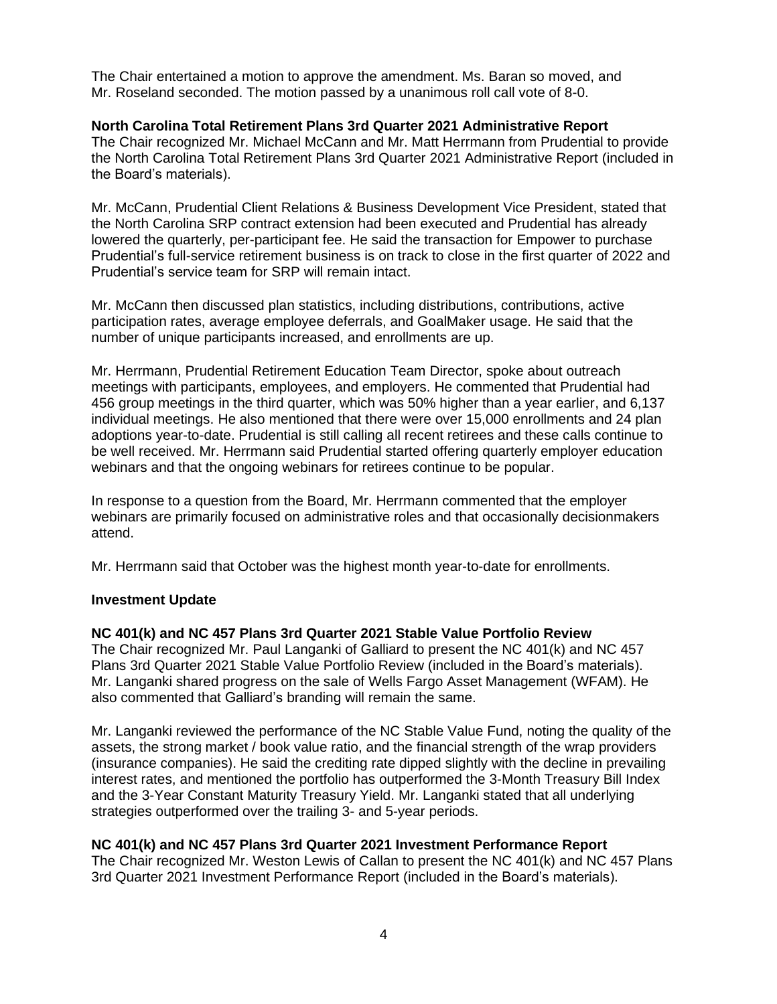The Chair entertained a motion to approve the amendment. Ms. Baran so moved, and Mr. Roseland seconded. The motion passed by a unanimous roll call vote of 8-0.

## **North Carolina Total Retirement Plans 3rd Quarter 2021 Administrative Report**

The Chair recognized Mr. Michael McCann and Mr. Matt Herrmann from Prudential to provide the North Carolina Total Retirement Plans 3rd Quarter 2021 Administrative Report (included in the Board's materials).

Mr. McCann, Prudential Client Relations & Business Development Vice President, stated that the North Carolina SRP contract extension had been executed and Prudential has already lowered the quarterly, per-participant fee. He said the transaction for Empower to purchase Prudential's full-service retirement business is on track to close in the first quarter of 2022 and Prudential's service team for SRP will remain intact.

Mr. McCann then discussed plan statistics, including distributions, contributions, active participation rates, average employee deferrals, and GoalMaker usage. He said that the number of unique participants increased, and enrollments are up.

Mr. Herrmann, Prudential Retirement Education Team Director, spoke about outreach meetings with participants, employees, and employers. He commented that Prudential had 456 group meetings in the third quarter, which was 50% higher than a year earlier, and 6,137 individual meetings. He also mentioned that there were over 15,000 enrollments and 24 plan adoptions year-to-date. Prudential is still calling all recent retirees and these calls continue to be well received. Mr. Herrmann said Prudential started offering quarterly employer education webinars and that the ongoing webinars for retirees continue to be popular.

In response to a question from the Board, Mr. Herrmann commented that the employer webinars are primarily focused on administrative roles and that occasionally decisionmakers attend.

Mr. Herrmann said that October was the highest month year-to-date for enrollments.

# **Investment Update**

#### **NC 401(k) and NC 457 Plans 3rd Quarter 2021 Stable Value Portfolio Review**

The Chair recognized Mr. Paul Langanki of Galliard to present the NC 401(k) and NC 457 Plans 3rd Quarter 2021 Stable Value Portfolio Review (included in the Board's materials). Mr. Langanki shared progress on the sale of Wells Fargo Asset Management (WFAM). He also commented that Galliard's branding will remain the same.

Mr. Langanki reviewed the performance of the NC Stable Value Fund, noting the quality of the assets, the strong market / book value ratio, and the financial strength of the wrap providers (insurance companies). He said the crediting rate dipped slightly with the decline in prevailing interest rates, and mentioned the portfolio has outperformed the 3-Month Treasury Bill Index and the 3-Year Constant Maturity Treasury Yield. Mr. Langanki stated that all underlying strategies outperformed over the trailing 3- and 5-year periods.

# **NC 401(k) and NC 457 Plans 3rd Quarter 2021 Investment Performance Report**

The Chair recognized Mr. Weston Lewis of Callan to present the NC 401(k) and NC 457 Plans 3rd Quarter 2021 Investment Performance Report (included in the Board's materials).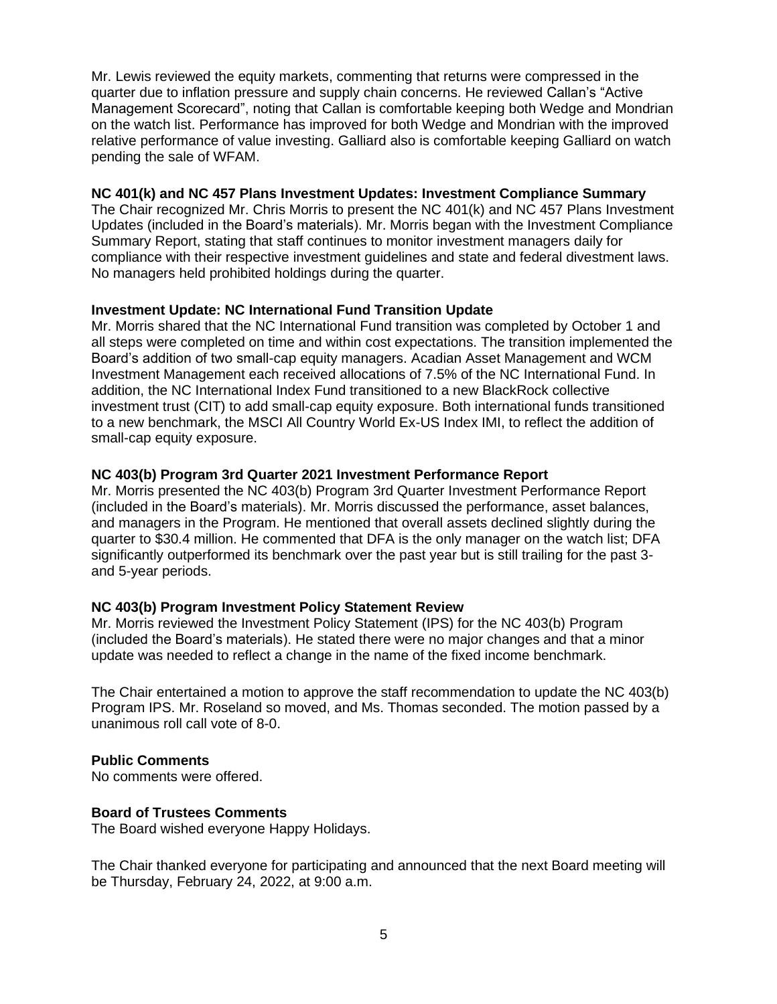Mr. Lewis reviewed the equity markets, commenting that returns were compressed in the quarter due to inflation pressure and supply chain concerns. He reviewed Callan's "Active Management Scorecard", noting that Callan is comfortable keeping both Wedge and Mondrian on the watch list. Performance has improved for both Wedge and Mondrian with the improved relative performance of value investing. Galliard also is comfortable keeping Galliard on watch pending the sale of WFAM.

## **NC 401(k) and NC 457 Plans Investment Updates: Investment Compliance Summary**

The Chair recognized Mr. Chris Morris to present the NC 401(k) and NC 457 Plans Investment Updates (included in the Board's materials). Mr. Morris began with the Investment Compliance Summary Report, stating that staff continues to monitor investment managers daily for compliance with their respective investment guidelines and state and federal divestment laws. No managers held prohibited holdings during the quarter.

## **Investment Update: NC International Fund Transition Update**

Mr. Morris shared that the NC International Fund transition was completed by October 1 and all steps were completed on time and within cost expectations. The transition implemented the Board's addition of two small-cap equity managers. Acadian Asset Management and WCM Investment Management each received allocations of 7.5% of the NC International Fund. In addition, the NC International Index Fund transitioned to a new BlackRock collective investment trust (CIT) to add small-cap equity exposure. Both international funds transitioned to a new benchmark, the MSCI All Country World Ex-US Index IMI, to reflect the addition of small-cap equity exposure.

## **NC 403(b) Program 3rd Quarter 2021 Investment Performance Report**

Mr. Morris presented the NC 403(b) Program 3rd Quarter Investment Performance Report (included in the Board's materials). Mr. Morris discussed the performance, asset balances, and managers in the Program. He mentioned that overall assets declined slightly during the quarter to \$30.4 million. He commented that DFA is the only manager on the watch list; DFA significantly outperformed its benchmark over the past year but is still trailing for the past 3 and 5-year periods.

#### **NC 403(b) Program Investment Policy Statement Review**

Mr. Morris reviewed the Investment Policy Statement (IPS) for the NC 403(b) Program (included the Board's materials). He stated there were no major changes and that a minor update was needed to reflect a change in the name of the fixed income benchmark.

The Chair entertained a motion to approve the staff recommendation to update the NC 403(b) Program IPS. Mr. Roseland so moved, and Ms. Thomas seconded. The motion passed by a unanimous roll call vote of 8-0.

#### **Public Comments**

No comments were offered.

#### **Board of Trustees Comments**

The Board wished everyone Happy Holidays.

The Chair thanked everyone for participating and announced that the next Board meeting will be Thursday, February 24, 2022, at 9:00 a.m.